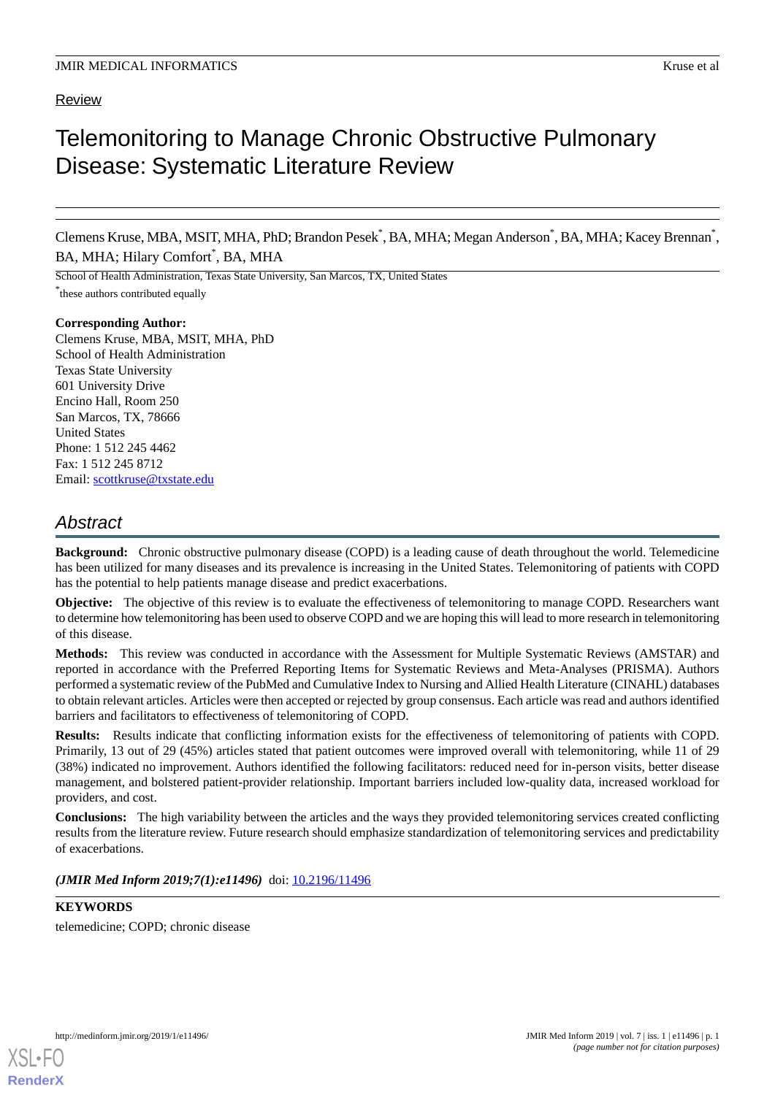# Telemonitoring to Manage Chronic Obstructive Pulmonary Disease: Systematic Literature Review

Clemens Kruse, MBA, MSIT, MHA, PhD; Brandon Pesek\* , BA, MHA; Megan Anderson\* , BA, MHA; Kacey Brennan\* , BA, MHA; Hilary Comfort<sup>\*</sup>, BA, MHA

School of Health Administration, Texas State University, San Marcos, TX, United States \* these authors contributed equally

**Corresponding Author:** Clemens Kruse, MBA, MSIT, MHA, PhD School of Health Administration Texas State University 601 University Drive Encino Hall, Room 250 San Marcos, TX, 78666 United States Phone: 1 512 245 4462 Fax: 1 512 245 8712 Email: [scottkruse@txstate.edu](mailto:scottkruse@txstate.edu)

## *Abstract*

**Background:** Chronic obstructive pulmonary disease (COPD) is a leading cause of death throughout the world. Telemedicine has been utilized for many diseases and its prevalence is increasing in the United States. Telemonitoring of patients with COPD has the potential to help patients manage disease and predict exacerbations.

**Objective:** The objective of this review is to evaluate the effectiveness of telemonitoring to manage COPD. Researchers want to determine how telemonitoring has been used to observe COPD and we are hoping this will lead to more research in telemonitoring of this disease.

**Methods:** This review was conducted in accordance with the Assessment for Multiple Systematic Reviews (AMSTAR) and reported in accordance with the Preferred Reporting Items for Systematic Reviews and Meta-Analyses (PRISMA). Authors performed a systematic review of the PubMed and Cumulative Index to Nursing and Allied Health Literature (CINAHL) databases to obtain relevant articles. Articles were then accepted or rejected by group consensus. Each article was read and authors identified barriers and facilitators to effectiveness of telemonitoring of COPD.

**Results:** Results indicate that conflicting information exists for the effectiveness of telemonitoring of patients with COPD. Primarily, 13 out of 29 (45%) articles stated that patient outcomes were improved overall with telemonitoring, while 11 of 29 (38%) indicated no improvement. Authors identified the following facilitators: reduced need for in-person visits, better disease management, and bolstered patient-provider relationship. Important barriers included low-quality data, increased workload for providers, and cost.

**Conclusions:** The high variability between the articles and the ways they provided telemonitoring services created conflicting results from the literature review. Future research should emphasize standardization of telemonitoring services and predictability of exacerbations.

(JMIR Med Inform 2019;7(1):e11496) doi: [10.2196/11496](http://dx.doi.org/10.2196/11496)

## **KEYWORDS**

telemedicine; COPD; chronic disease

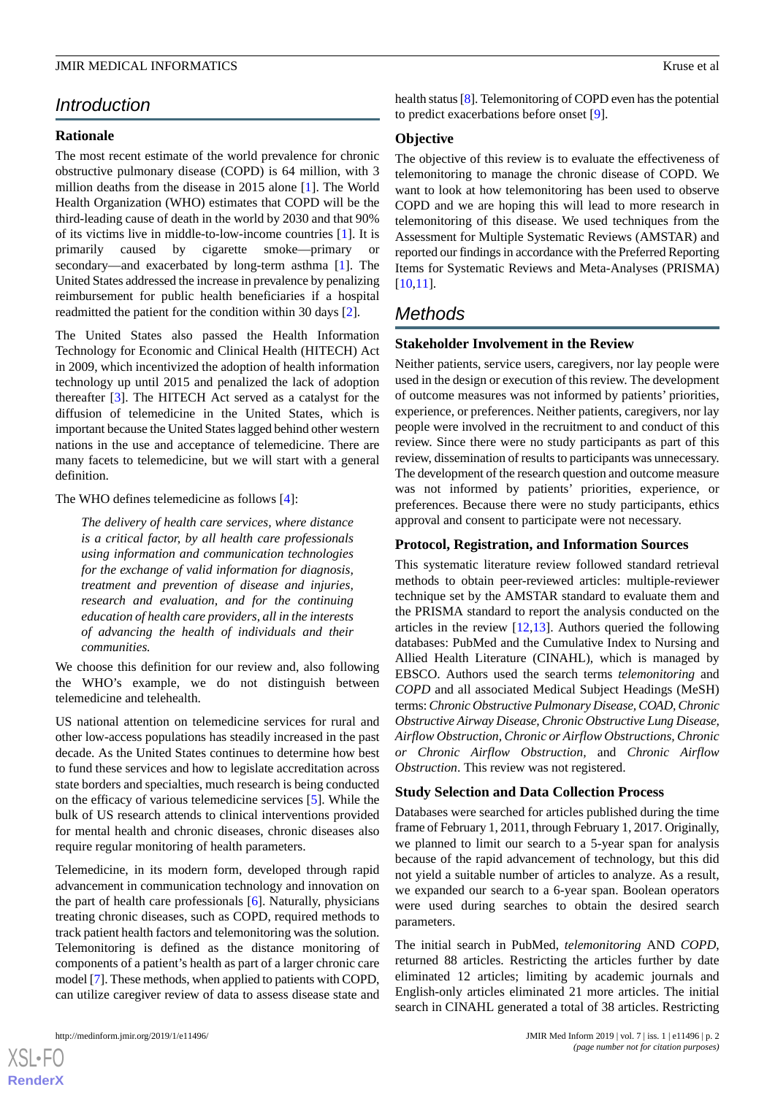## *Introduction*

### **Rationale**

The most recent estimate of the world prevalence for chronic obstructive pulmonary disease (COPD) is 64 million, with 3 million deaths from the disease in 2015 alone [\[1\]](#page-6-0). The World Health Organization (WHO) estimates that COPD will be the third-leading cause of death in the world by 2030 and that 90% of its victims live in middle-to-low-income countries [\[1](#page-6-0)]. It is primarily caused by cigarette smoke—primary or secondary—and exacerbated by long-term asthma [\[1](#page-6-0)]. The United States addressed the increase in prevalence by penalizing reimbursement for public health beneficiaries if a hospital readmitted the patient for the condition within 30 days [\[2](#page-6-1)].

The United States also passed the Health Information Technology for Economic and Clinical Health (HITECH) Act in 2009, which incentivized the adoption of health information technology up until 2015 and penalized the lack of adoption thereafter [[3\]](#page-6-2). The HITECH Act served as a catalyst for the diffusion of telemedicine in the United States, which is important because the United States lagged behind other western nations in the use and acceptance of telemedicine. There are many facets to telemedicine, but we will start with a general definition.

#### The WHO defines telemedicine as follows [\[4](#page-6-3)]:

*The delivery of health care services, where distance is a critical factor, by all health care professionals using information and communication technologies for the exchange of valid information for diagnosis, treatment and prevention of disease and injuries, research and evaluation, and for the continuing education of health care providers, all in the interests of advancing the health of individuals and their communities.*

We choose this definition for our review and, also following the WHO's example, we do not distinguish between telemedicine and telehealth.

US national attention on telemedicine services for rural and other low-access populations has steadily increased in the past decade. As the United States continues to determine how best to fund these services and how to legislate accreditation across state borders and specialties, much research is being conducted on the efficacy of various telemedicine services [[5\]](#page-6-4). While the bulk of US research attends to clinical interventions provided for mental health and chronic diseases, chronic diseases also require regular monitoring of health parameters.

Telemedicine, in its modern form, developed through rapid advancement in communication technology and innovation on the part of health care professionals [\[6](#page-6-5)]. Naturally, physicians treating chronic diseases, such as COPD, required methods to track patient health factors and telemonitoring was the solution. Telemonitoring is defined as the distance monitoring of components of a patient's health as part of a larger chronic care model [\[7](#page-6-6)]. These methods, when applied to patients with COPD, can utilize caregiver review of data to assess disease state and

health status [[8\]](#page-6-7). Telemonitoring of COPD even has the potential to predict exacerbations before onset [\[9\]](#page-6-8).

#### **Objective**

The objective of this review is to evaluate the effectiveness of telemonitoring to manage the chronic disease of COPD. We want to look at how telemonitoring has been used to observe COPD and we are hoping this will lead to more research in telemonitoring of this disease. We used techniques from the Assessment for Multiple Systematic Reviews (AMSTAR) and reported our findings in accordance with the Preferred Reporting Items for Systematic Reviews and Meta-Analyses (PRISMA) [[10,](#page-6-9)[11\]](#page-6-10).

## *Methods*

#### **Stakeholder Involvement in the Review**

Neither patients, service users, caregivers, nor lay people were used in the design or execution of this review. The development of outcome measures was not informed by patients' priorities, experience, or preferences. Neither patients, caregivers, nor lay people were involved in the recruitment to and conduct of this review. Since there were no study participants as part of this review, dissemination of results to participants was unnecessary. The development of the research question and outcome measure was not informed by patients' priorities, experience, or preferences. Because there were no study participants, ethics approval and consent to participate were not necessary.

### **Protocol, Registration, and Information Sources**

This systematic literature review followed standard retrieval methods to obtain peer-reviewed articles: multiple-reviewer technique set by the AMSTAR standard to evaluate them and the PRISMA standard to report the analysis conducted on the articles in the review [[12,](#page-6-11)[13\]](#page-6-12). Authors queried the following databases: PubMed and the Cumulative Index to Nursing and Allied Health Literature (CINAHL), which is managed by EBSCO. Authors used the search terms *telemonitoring* and *COPD* and all associated Medical Subject Headings (MeSH) terms: *Chronic Obstructive Pulmonary Disease, COAD, Chronic Obstructive Airway Disease, Chronic Obstructive Lung Disease, Airflow Obstruction, Chronic or Airflow Obstructions, Chronic or Chronic Airflow Obstruction,* and *Chronic Airflow Obstruction*. This review was not registered.

#### **Study Selection and Data Collection Process**

Databases were searched for articles published during the time frame of February 1, 2011, through February 1, 2017. Originally, we planned to limit our search to a 5-year span for analysis because of the rapid advancement of technology, but this did not yield a suitable number of articles to analyze. As a result, we expanded our search to a 6-year span. Boolean operators were used during searches to obtain the desired search parameters.

The initial search in PubMed, *telemonitoring* AND *COPD*, returned 88 articles. Restricting the articles further by date eliminated 12 articles; limiting by academic journals and English-only articles eliminated 21 more articles. The initial search in CINAHL generated a total of 38 articles. Restricting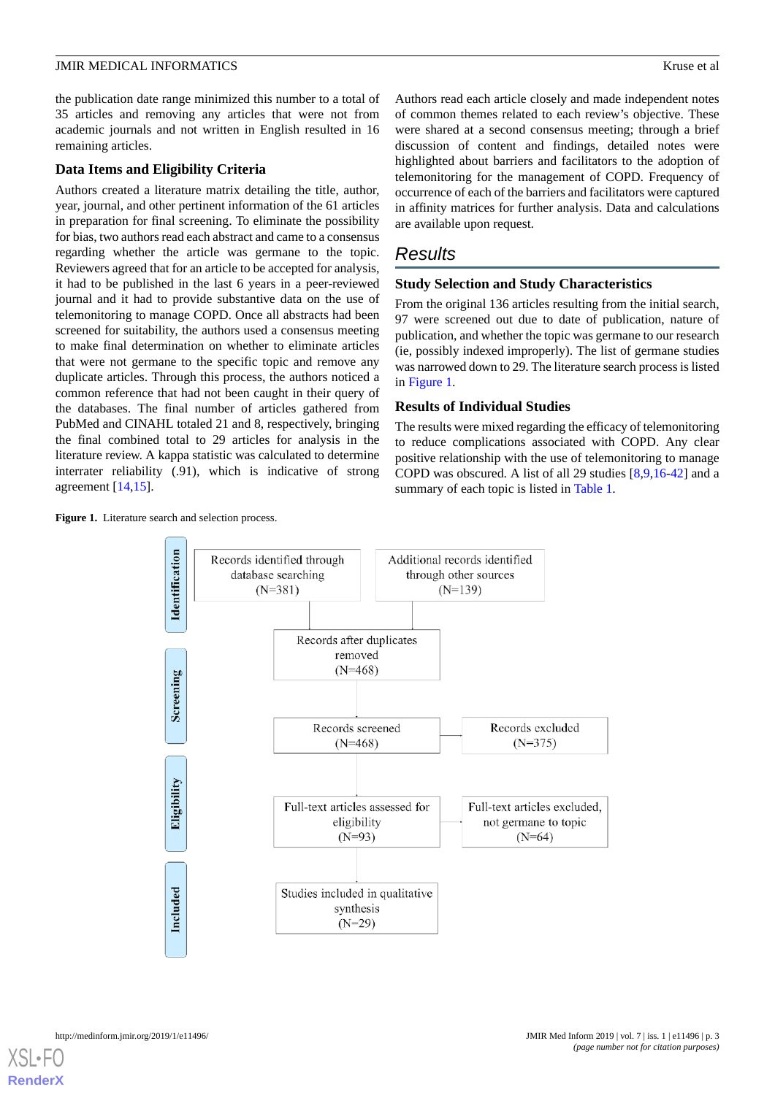the publication date range minimized this number to a total of 35 articles and removing any articles that were not from academic journals and not written in English resulted in 16 remaining articles.

#### **Data Items and Eligibility Criteria**

Authors created a literature matrix detailing the title, author, year, journal, and other pertinent information of the 61 articles in preparation for final screening. To eliminate the possibility for bias, two authors read each abstract and came to a consensus regarding whether the article was germane to the topic. Reviewers agreed that for an article to be accepted for analysis, it had to be published in the last 6 years in a peer-reviewed journal and it had to provide substantive data on the use of telemonitoring to manage COPD. Once all abstracts had been screened for suitability, the authors used a consensus meeting to make final determination on whether to eliminate articles that were not germane to the specific topic and remove any duplicate articles. Through this process, the authors noticed a common reference that had not been caught in their query of the databases. The final number of articles gathered from PubMed and CINAHL totaled 21 and 8, respectively, bringing the final combined total to 29 articles for analysis in the literature review. A kappa statistic was calculated to determine interrater reliability (.91), which is indicative of strong agreement [[14](#page-6-13)[,15](#page-6-14)].

<span id="page-2-0"></span>Figure 1. Literature search and selection process.

Authors read each article closely and made independent notes of common themes related to each review's objective. These were shared at a second consensus meeting; through a brief discussion of content and findings, detailed notes were highlighted about barriers and facilitators to the adoption of telemonitoring for the management of COPD. Frequency of occurrence of each of the barriers and facilitators were captured in affinity matrices for further analysis. Data and calculations are available upon request.

## *Results*

## **Study Selection and Study Characteristics**

From the original 136 articles resulting from the initial search, 97 were screened out due to date of publication, nature of publication, and whether the topic was germane to our research (ie, possibly indexed improperly). The list of germane studies was narrowed down to 29. The literature search process is listed in [Figure 1.](#page-2-0)

## **Results of Individual Studies**

The results were mixed regarding the efficacy of telemonitoring to reduce complications associated with COPD. Any clear positive relationship with the use of telemonitoring to manage COPD was obscured. A list of all 29 studies [[8](#page-6-7)[,9](#page-6-8),[16](#page-6-15)[-42](#page-8-0)] and a summary of each topic is listed in [Table 1.](#page-3-0)

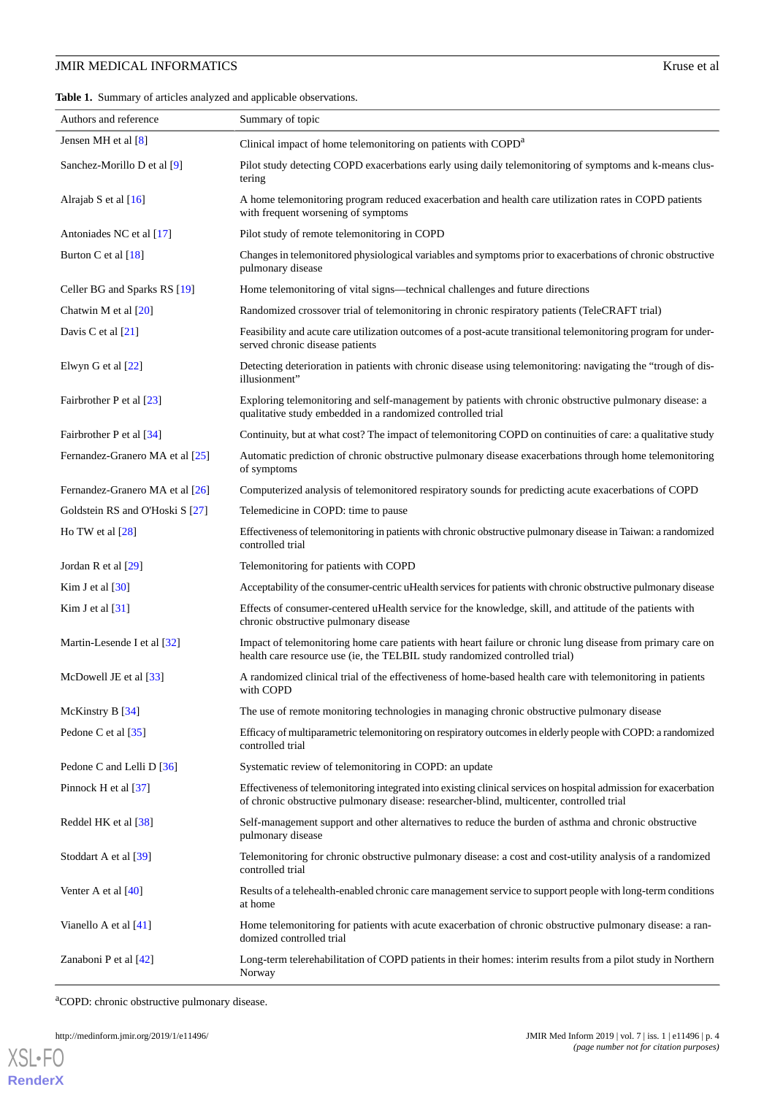<span id="page-3-0"></span>

| Authors and reference           | Summary of topic                                                                                                                                                                                               |
|---------------------------------|----------------------------------------------------------------------------------------------------------------------------------------------------------------------------------------------------------------|
| Jensen MH et al $[8]$           | Clinical impact of home telemonitoring on patients with COPD <sup>a</sup>                                                                                                                                      |
| Sanchez-Morillo D et al [9]     | Pilot study detecting COPD exacerbations early using daily telemonitoring of symptoms and k-means clus-<br>tering                                                                                              |
| Alrajab S et al $[16]$          | A home telemonitoring program reduced exacerbation and health care utilization rates in COPD patients<br>with frequent worsening of symptoms                                                                   |
| Antoniades NC et al [17]        | Pilot study of remote telemonitoring in COPD                                                                                                                                                                   |
| Burton C et al [18]             | Changes in telemonitored physiological variables and symptoms prior to exacerbations of chronic obstructive<br>pulmonary disease                                                                               |
| Celler BG and Sparks RS [19]    | Home telemonitoring of vital signs—technical challenges and future directions                                                                                                                                  |
| Chatwin M et al $[20]$          | Randomized crossover trial of telemonitoring in chronic respiratory patients (TeleCRAFT trial)                                                                                                                 |
| Davis C et al $[21]$            | Feasibility and acute care utilization outcomes of a post-acute transitional telemonitoring program for under-<br>served chronic disease patients                                                              |
| Elwyn G et al $[22]$            | Detecting deterioration in patients with chronic disease using telemonitoring: navigating the "trough of dis-<br>illusionment"                                                                                 |
| Fairbrother P et al [23]        | Exploring telemonitoring and self-management by patients with chronic obstructive pulmonary disease: a<br>qualitative study embedded in a randomized controlled trial                                          |
| Fairbrother P et al [34]        | Continuity, but at what cost? The impact of telemonitoring COPD on continuities of care: a qualitative study                                                                                                   |
| Fernandez-Granero MA et al [25] | Automatic prediction of chronic obstructive pulmonary disease exacerbations through home telemonitoring<br>of symptoms                                                                                         |
| Fernandez-Granero MA et al [26] | Computerized analysis of telemonitored respiratory sounds for predicting acute exacerbations of COPD                                                                                                           |
| Goldstein RS and O'Hoski S [27] | Telemedicine in COPD: time to pause                                                                                                                                                                            |
| Ho TW et al $[28]$              | Effectiveness of telemonitoring in patients with chronic obstructive pulmonary disease in Taiwan: a randomized<br>controlled trial                                                                             |
| Jordan R et al $[29]$           | Telemonitoring for patients with COPD                                                                                                                                                                          |
| Kim J et al $[30]$              | Acceptability of the consumer-centric uHealth services for patients with chronic obstructive pulmonary disease                                                                                                 |
| Kim J et al $[31]$              | Effects of consumer-centered uHealth service for the knowledge, skill, and attitude of the patients with<br>chronic obstructive pulmonary disease                                                              |
| Martin-Lesende I et al [32]     | Impact of telemonitoring home care patients with heart failure or chronic lung disease from primary care on<br>health care resource use (ie, the TELBIL study randomized controlled trial)                     |
| McDowell JE et al [33]          | A randomized clinical trial of the effectiveness of home-based health care with telemonitoring in patients<br>with COPD                                                                                        |
| McKinstry B [34]                | The use of remote monitoring technologies in managing chronic obstructive pulmonary disease                                                                                                                    |
| Pedone C et al [35]             | Efficacy of multiparametric telemonitoring on respiratory outcomes in elderly people with COPD: a randomized<br>controlled trial                                                                               |
| Pedone C and Lelli D [36]       | Systematic review of telemonitoring in COPD: an update                                                                                                                                                         |
| Pinnock H et al [37]            | Effectiveness of telemonitoring integrated into existing clinical services on hospital admission for exacerbation<br>of chronic obstructive pulmonary disease: researcher-blind, multicenter, controlled trial |
| Reddel HK et al [38]            | Self-management support and other alternatives to reduce the burden of asthma and chronic obstructive<br>pulmonary disease                                                                                     |
| Stoddart A et al [39]           | Telemonitoring for chronic obstructive pulmonary disease: a cost and cost-utility analysis of a randomized<br>controlled trial                                                                                 |
| Venter A et al $[40]$           | Results of a telehealth-enabled chronic care management service to support people with long-term conditions<br>at home                                                                                         |
| Vianello A et al [41]           | Home telemonitoring for patients with acute exacerbation of chronic obstructive pulmonary disease: a ran-<br>domized controlled trial                                                                          |
| Zanaboni P et al [42]           | Long-term telerehabilitation of COPD patients in their homes: interim results from a pilot study in Northern<br>Norway                                                                                         |

<sup>a</sup>COPD: chronic obstructive pulmonary disease.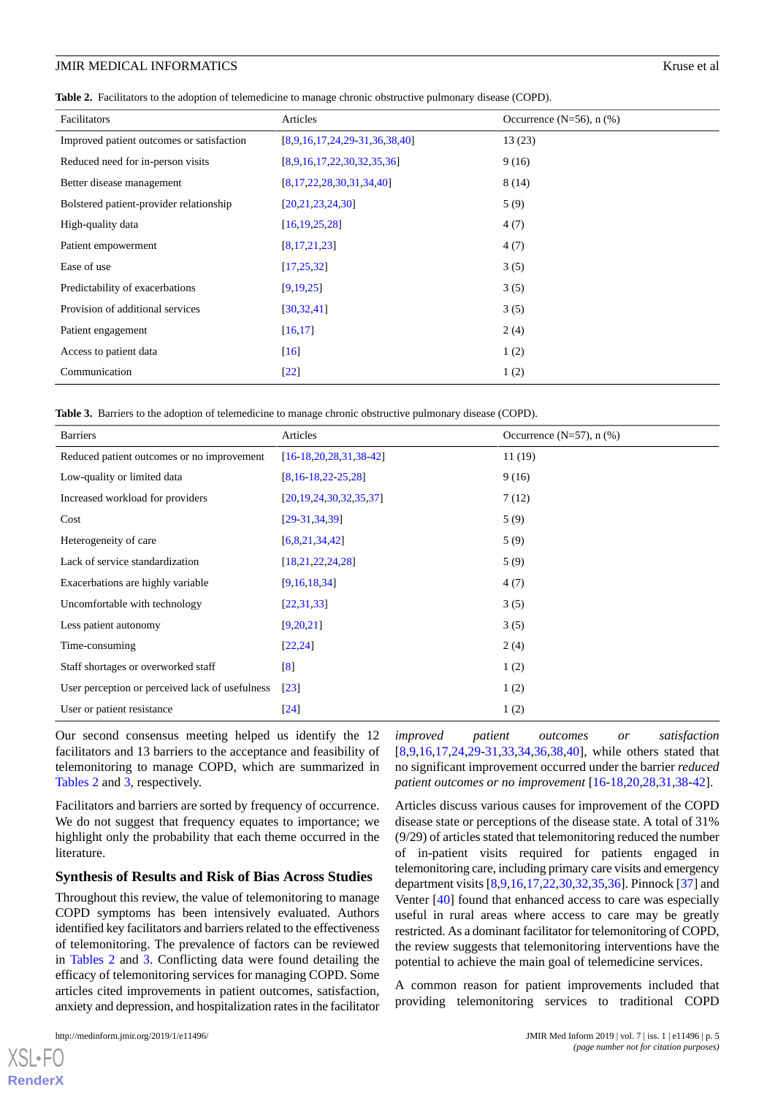#### JMIR MEDICAL INFORMATICS SECOND CONSUMING THE SECOND SECOND SECOND SECOND SECOND SECOND SECOND SECOND SECOND SECOND SECOND SECOND SECOND SECOND SECOND SECOND SECOND SECOND SECOND SECOND SECOND SECOND SECOND SECOND SECOND S

<span id="page-4-0"></span>

|  |  | Table 2. Facilitators to the adoption of telemedicine to manage chronic obstructive pulmonary disease (COPD). |  |  |
|--|--|---------------------------------------------------------------------------------------------------------------|--|--|
|--|--|---------------------------------------------------------------------------------------------------------------|--|--|

| Facilitators                              | Articles                        | Occurrence $(N=56)$ , n $(\%)$ |
|-------------------------------------------|---------------------------------|--------------------------------|
| Improved patient outcomes or satisfaction | $[8,9,16,17,24,29-31,36,38,40]$ | 13(23)                         |
| Reduced need for in-person visits         | [8,9,16,17,22,30,32,35,36]      | 9(16)                          |
| Better disease management                 | [8, 17, 22, 28, 30, 31, 34, 40] | 8(14)                          |
| Bolstered patient-provider relationship   | [20, 21, 23, 24, 30]            | 5(9)                           |
| High-quality data                         | [16, 19, 25, 28]                | 4(7)                           |
| Patient empowerment                       | [8,17,21,23]                    | 4(7)                           |
| Ease of use                               | [17, 25, 32]                    | 3(5)                           |
| Predictability of exacerbations           | [9, 19, 25]                     | 3(5)                           |
| Provision of additional services          | [30, 32, 41]                    | 3(5)                           |
| Patient engagement                        | [16, 17]                        | 2(4)                           |
| Access to patient data                    | [16]                            | 1(2)                           |
| Communication                             | $[22]$                          | 1(2)                           |

<span id="page-4-1"></span>

|  |  | Table 3. Barriers to the adoption of telemedicine to manage chronic obstructive pulmonary disease (COPD). |  |  |
|--|--|-----------------------------------------------------------------------------------------------------------|--|--|
|--|--|-----------------------------------------------------------------------------------------------------------|--|--|

| <b>Barriers</b>                                 | Articles                     | Occurrence $(N=57)$ , n $(\%)$ |
|-------------------------------------------------|------------------------------|--------------------------------|
| Reduced patient outcomes or no improvement      | $[16-18, 20, 28, 31, 38-42]$ | 11(19)                         |
| Low-quality or limited data                     | $[8, 16 - 18, 22 - 25, 28]$  | 9(16)                          |
| Increased workload for providers                | [20, 19, 24, 30, 32, 35, 37] | 7(12)                          |
| Cost                                            | $[29-31, 34, 39]$            | 5(9)                           |
| Heterogeneity of care                           | [6,8,21,34,42]               | 5(9)                           |
| Lack of service standardization                 | [18, 21, 22, 24, 28]         | 5(9)                           |
| Exacerbations are highly variable               | [9,16,18,34]                 | 4(7)                           |
| Uncomfortable with technology                   | [22, 31, 33]                 | 3(5)                           |
| Less patient autonomy                           | [9,20,21]                    | 3(5)                           |
| Time-consuming                                  | [22, 24]                     | 2(4)                           |
| Staff shortages or overworked staff             | $\lceil 8 \rceil$            | 1(2)                           |
| User perception or perceived lack of usefulness | $\lceil 23 \rceil$           | 1(2)                           |
| User or patient resistance                      | $\left[24\right]$            | 1(2)                           |

Our second consensus meeting helped us identify the 12 facilitators and 13 barriers to the acceptance and feasibility of telemonitoring to manage COPD, which are summarized in [Tables 2](#page-4-0) and [3](#page-4-1), respectively.

Facilitators and barriers are sorted by frequency of occurrence. We do not suggest that frequency equates to importance; we highlight only the probability that each theme occurred in the literature.

#### **Synthesis of Results and Risk of Bias Across Studies**

Throughout this review, the value of telemonitoring to manage COPD symptoms has been intensively evaluated. Authors identified key facilitators and barriers related to the effectiveness of telemonitoring. The prevalence of factors can be reviewed in [Tables 2](#page-4-0) and [3](#page-4-1). Conflicting data were found detailing the efficacy of telemonitoring services for managing COPD. Some articles cited improvements in patient outcomes, satisfaction, anxiety and depression, and hospitalization rates in the facilitator

[XSL](http://www.w3.org/Style/XSL)•FO **[RenderX](http://www.renderx.com/)**

*improved patient outcomes or satisfaction* [[8](#page-6-7)[,9,](#page-6-8)[16](#page-6-15)[,17](#page-6-16),[24,](#page-7-19)[29-](#page-7-7)[31](#page-7-9)[,33](#page-7-11),[34](#page-7-2)[,36](#page-7-13),[38](#page-7-15)[,40](#page-7-17)], while others stated that no significant improvement occurred under the barrier *reduced patient outcomes or no improvement* [[16-](#page-6-15)[18](#page-6-17)[,20](#page-6-19),[28](#page-7-6)[,31](#page-7-9),[38](#page-7-15)[-42](#page-8-0)].

Articles discuss various causes for improvement of the COPD disease state or perceptions of the disease state. A total of 31% (9/29) of articles stated that telemonitoring reduced the number of in-patient visits required for patients engaged in telemonitoring care, including primary care visits and emergency department visits [\[8](#page-6-7),[9,](#page-6-8)[16](#page-6-15),[17,](#page-6-16)[22](#page-7-0),[30,](#page-7-8)[32](#page-7-10),[35,](#page-7-12)[36](#page-7-13)]. Pinnock [[37\]](#page-7-14) and Venter [[40\]](#page-7-17) found that enhanced access to care was especially useful in rural areas where access to care may be greatly restricted. As a dominant facilitator for telemonitoring of COPD, the review suggests that telemonitoring interventions have the potential to achieve the main goal of telemedicine services.

A common reason for patient improvements included that providing telemonitoring services to traditional COPD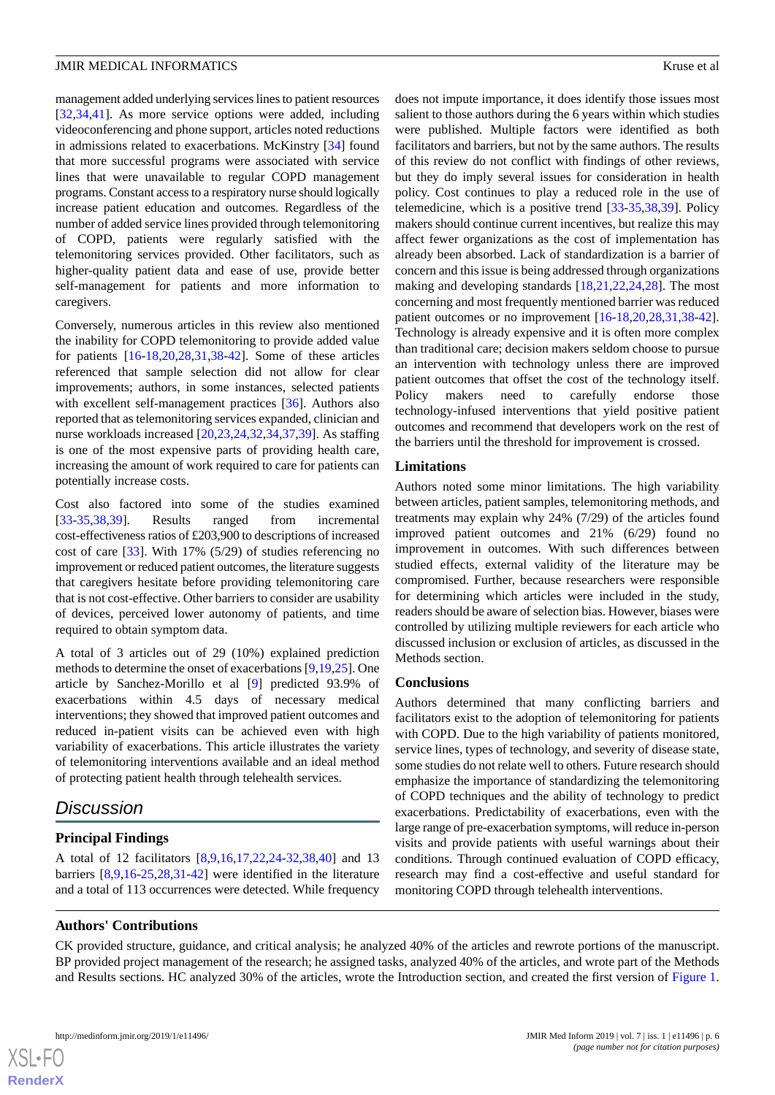management added underlying services lines to patient resources [[32](#page-7-10)[,34](#page-7-2),[41\]](#page-7-18). As more service options were added, including videoconferencing and phone support, articles noted reductions in admissions related to exacerbations. McKinstry [[34\]](#page-7-2) found that more successful programs were associated with service lines that were unavailable to regular COPD management programs. Constant access to a respiratory nurse should logically increase patient education and outcomes. Regardless of the number of added service lines provided through telemonitoring of COPD, patients were regularly satisfied with the telemonitoring services provided. Other facilitators, such as higher-quality patient data and ease of use, provide better self-management for patients and more information to caregivers.

Conversely, numerous articles in this review also mentioned the inability for COPD telemonitoring to provide added value for patients [[16-](#page-6-15)[18](#page-6-17)[,20](#page-6-19),[28](#page-7-6)[,31](#page-7-9),[38](#page-7-15)[-42](#page-8-0)]. Some of these articles referenced that sample selection did not allow for clear improvements; authors, in some instances, selected patients with excellent self-management practices [[36\]](#page-7-13). Authors also reported that as telemonitoring services expanded, clinician and nurse workloads increased [\[20](#page-6-19),[23,](#page-7-1)[24,](#page-7-19)[32](#page-7-10)[,34](#page-7-2),[37,](#page-7-14)[39\]](#page-7-16). As staffing is one of the most expensive parts of providing health care, increasing the amount of work required to care for patients can potentially increase costs.

Cost also factored into some of the studies examined [[33](#page-7-11)[-35](#page-7-12),[38,](#page-7-15)[39](#page-7-16)]. Results ranged from incremental cost-effectiveness ratios of £203,900 to descriptions of increased cost of care [\[33](#page-7-11)]. With 17% (5/29) of studies referencing no improvement or reduced patient outcomes, the literature suggests that caregivers hesitate before providing telemonitoring care that is not cost-effective. Other barriers to consider are usability of devices, perceived lower autonomy of patients, and time required to obtain symptom data.

A total of 3 articles out of 29 (10%) explained prediction methods to determine the onset of exacerbations [\[9](#page-6-8),[19](#page-6-18)[,25](#page-7-3)]. One article by Sanchez-Morillo et al [\[9](#page-6-8)] predicted 93.9% of exacerbations within 4.5 days of necessary medical interventions; they showed that improved patient outcomes and reduced in-patient visits can be achieved even with high variability of exacerbations. This article illustrates the variety of telemonitoring interventions available and an ideal method of protecting patient health through telehealth services.

## *Discussion*

## **Principal Findings**

A total of 12 facilitators [\[8](#page-6-7),[9,](#page-6-8)[16](#page-6-15),[17,](#page-6-16)[22](#page-7-0),[24-](#page-7-19)[32](#page-7-10)[,38](#page-7-15),[40\]](#page-7-17) and 13 barriers [[8,](#page-6-7)[9](#page-6-8),[16](#page-6-15)[-25](#page-7-3),[28](#page-7-6)[,31](#page-7-9)-[42\]](#page-8-0) were identified in the literature and a total of 113 occurrences were detected. While frequency

does not impute importance, it does identify those issues most salient to those authors during the 6 years within which studies were published. Multiple factors were identified as both facilitators and barriers, but not by the same authors. The results of this review do not conflict with findings of other reviews, but they do imply several issues for consideration in health policy. Cost continues to play a reduced role in the use of telemedicine, which is a positive trend [[33-](#page-7-11)[35](#page-7-12)[,38](#page-7-15),[39\]](#page-7-16). Policy makers should continue current incentives, but realize this may affect fewer organizations as the cost of implementation has already been absorbed. Lack of standardization is a barrier of concern and this issue is being addressed through organizations making and developing standards [[18,](#page-6-17)[21](#page-6-20),[22,](#page-7-0)[24](#page-7-19),[28\]](#page-7-6). The most concerning and most frequently mentioned barrier was reduced patient outcomes or no improvement [\[16](#page-6-15)-[18,](#page-6-17)[20](#page-6-19),[28,](#page-7-6)[31](#page-7-9),[38-](#page-7-15)[42\]](#page-8-0). Technology is already expensive and it is often more complex than traditional care; decision makers seldom choose to pursue an intervention with technology unless there are improved patient outcomes that offset the cost of the technology itself. Policy makers need to carefully endorse those technology-infused interventions that yield positive patient outcomes and recommend that developers work on the rest of the barriers until the threshold for improvement is crossed.

## **Limitations**

Authors noted some minor limitations. The high variability between articles, patient samples, telemonitoring methods, and treatments may explain why 24% (7/29) of the articles found improved patient outcomes and 21% (6/29) found no improvement in outcomes. With such differences between studied effects, external validity of the literature may be compromised. Further, because researchers were responsible for determining which articles were included in the study, readers should be aware of selection bias. However, biases were controlled by utilizing multiple reviewers for each article who discussed inclusion or exclusion of articles, as discussed in the Methods section.

## **Conclusions**

Authors determined that many conflicting barriers and facilitators exist to the adoption of telemonitoring for patients with COPD. Due to the high variability of patients monitored, service lines, types of technology, and severity of disease state, some studies do not relate well to others. Future research should emphasize the importance of standardizing the telemonitoring of COPD techniques and the ability of technology to predict exacerbations. Predictability of exacerbations, even with the large range of pre-exacerbation symptoms, will reduce in-person visits and provide patients with useful warnings about their conditions. Through continued evaluation of COPD efficacy, research may find a cost-effective and useful standard for monitoring COPD through telehealth interventions.

## **Authors' Contributions**

CK provided structure, guidance, and critical analysis; he analyzed 40% of the articles and rewrote portions of the manuscript. BP provided project management of the research; he assigned tasks, analyzed 40% of the articles, and wrote part of the Methods and Results sections. HC analyzed 30% of the articles, wrote the Introduction section, and created the first version of [Figure 1](#page-2-0).

 $XSI - F($ **[RenderX](http://www.renderx.com/)**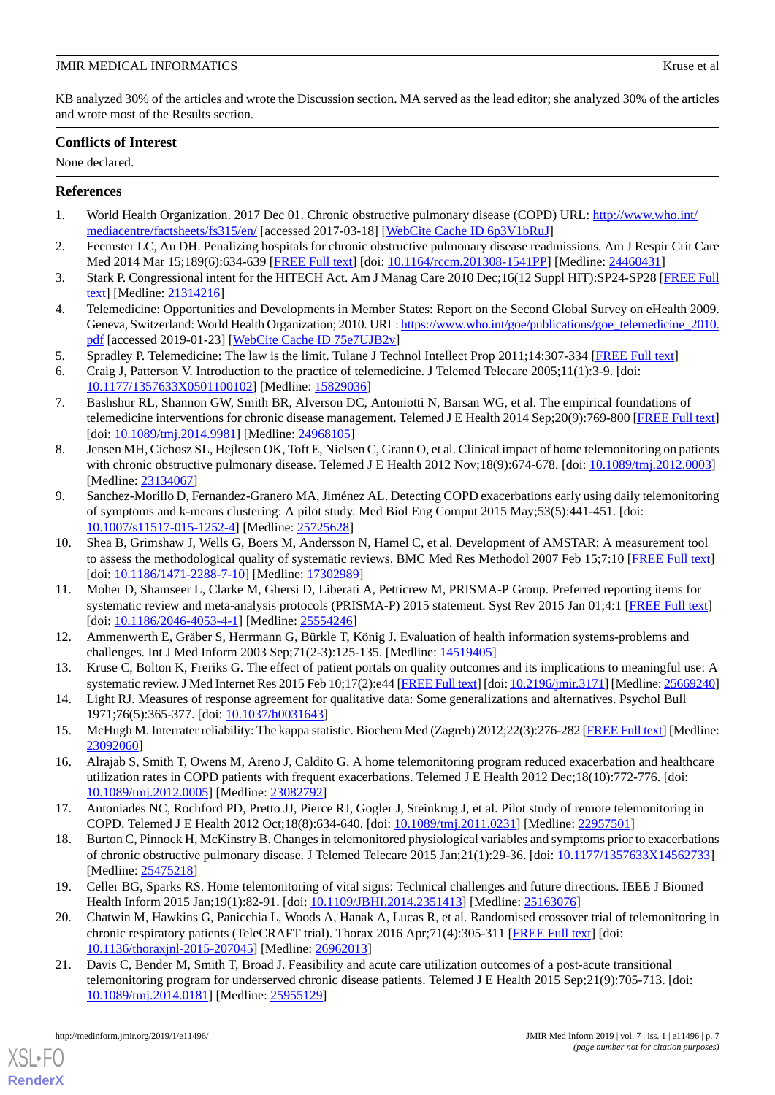KB analyzed 30% of the articles and wrote the Discussion section. MA served as the lead editor; she analyzed 30% of the articles and wrote most of the Results section.

## **Conflicts of Interest**

None declared.

## <span id="page-6-0"></span>**References**

- <span id="page-6-1"></span>1. World Health Organization. 2017 Dec 01. Chronic obstructive pulmonary disease (COPD) URL: [http://www.who.int/](http://www.who.int/mediacentre/factsheets/fs315/en/) [mediacentre/factsheets/fs315/en/](http://www.who.int/mediacentre/factsheets/fs315/en/) [accessed 2017-03-18] [[WebCite Cache ID 6p3V1bRuJ](http://www.webcitation.org/

                                6p3V1bRuJ)]
- <span id="page-6-2"></span>2. Feemster LC, Au DH. Penalizing hospitals for chronic obstructive pulmonary disease readmissions. Am J Respir Crit Care Med 2014 Mar 15;189(6):634-639 [\[FREE Full text\]](http://europepmc.org/abstract/MED/24460431) [doi: [10.1164/rccm.201308-1541PP](http://dx.doi.org/10.1164/rccm.201308-1541PP)] [Medline: [24460431](http://www.ncbi.nlm.nih.gov/entrez/query.fcgi?cmd=Retrieve&db=PubMed&list_uids=24460431&dopt=Abstract)]
- <span id="page-6-3"></span>3. Stark P. Congressional intent for the HITECH Act. Am J Manag Care 2010 Dec;16(12 Suppl HIT):SP24-SP28 [[FREE Full](https://www.ajmc.com/pubMed.php?pii=12768) [text](https://www.ajmc.com/pubMed.php?pii=12768)] [Medline: [21314216](http://www.ncbi.nlm.nih.gov/entrez/query.fcgi?cmd=Retrieve&db=PubMed&list_uids=21314216&dopt=Abstract)]
- <span id="page-6-4"></span>4. Telemedicine: Opportunities and Developments in Member States: Report on the Second Global Survey on eHealth 2009. Geneva, Switzerland: World Health Organization; 2010. URL: [https://www.who.int/goe/publications/goe\\_telemedicine\\_2010.](https://www.who.int/goe/publications/goe_telemedicine_2010.pdf) [pdf](https://www.who.int/goe/publications/goe_telemedicine_2010.pdf) [accessed 2019-01-23] [[WebCite Cache ID 75e7UJB2v\]](http://www.webcitation.org/

                                75e7UJB2v)
- <span id="page-6-6"></span><span id="page-6-5"></span>5. Spradley P. Telemedicine: The law is the limit. Tulane J Technol Intellect Prop 2011;14:307-334 [[FREE Full text](https://heinonline.org/HOL/LandingPage?handle=hein.journals/tuljtip14&div=10&id=&page=)]
- 6. Craig J, Patterson V. Introduction to the practice of telemedicine. J Telemed Telecare 2005;11(1):3-9. [doi: [10.1177/1357633X0501100102](http://dx.doi.org/10.1177/1357633X0501100102)] [Medline: [15829036\]](http://www.ncbi.nlm.nih.gov/entrez/query.fcgi?cmd=Retrieve&db=PubMed&list_uids=15829036&dopt=Abstract)
- <span id="page-6-7"></span>7. Bashshur RL, Shannon GW, Smith BR, Alverson DC, Antoniotti N, Barsan WG, et al. The empirical foundations of telemedicine interventions for chronic disease management. Telemed J E Health 2014 Sep;20(9):769-800 [[FREE Full text](http://europepmc.org/abstract/MED/24968105)] [doi: [10.1089/tmj.2014.9981\]](http://dx.doi.org/10.1089/tmj.2014.9981) [Medline: [24968105](http://www.ncbi.nlm.nih.gov/entrez/query.fcgi?cmd=Retrieve&db=PubMed&list_uids=24968105&dopt=Abstract)]
- <span id="page-6-8"></span>8. Jensen MH, Cichosz SL, Hejlesen OK, Toft E, Nielsen C, Grann O, et al. Clinical impact of home telemonitoring on patients with chronic obstructive pulmonary disease. Telemed J E Health 2012 Nov;18(9):674-678. [doi: [10.1089/tmj.2012.0003\]](http://dx.doi.org/10.1089/tmj.2012.0003) [Medline: [23134067](http://www.ncbi.nlm.nih.gov/entrez/query.fcgi?cmd=Retrieve&db=PubMed&list_uids=23134067&dopt=Abstract)]
- <span id="page-6-9"></span>9. Sanchez-Morillo D, Fernandez-Granero MA, Jiménez AL. Detecting COPD exacerbations early using daily telemonitoring of symptoms and k-means clustering: A pilot study. Med Biol Eng Comput 2015 May;53(5):441-451. [doi: [10.1007/s11517-015-1252-4\]](http://dx.doi.org/10.1007/s11517-015-1252-4) [Medline: [25725628](http://www.ncbi.nlm.nih.gov/entrez/query.fcgi?cmd=Retrieve&db=PubMed&list_uids=25725628&dopt=Abstract)]
- <span id="page-6-10"></span>10. Shea B, Grimshaw J, Wells G, Boers M, Andersson N, Hamel C, et al. Development of AMSTAR: A measurement tool to assess the methodological quality of systematic reviews. BMC Med Res Methodol 2007 Feb 15;7:10 [[FREE Full text\]](https://bmcmedresmethodol.biomedcentral.com/articles/10.1186/1471-2288-7-10) [doi: [10.1186/1471-2288-7-10](http://dx.doi.org/10.1186/1471-2288-7-10)] [Medline: [17302989\]](http://www.ncbi.nlm.nih.gov/entrez/query.fcgi?cmd=Retrieve&db=PubMed&list_uids=17302989&dopt=Abstract)
- <span id="page-6-12"></span><span id="page-6-11"></span>11. Moher D, Shamseer L, Clarke M, Ghersi D, Liberati A, Petticrew M, PRISMA-P Group. Preferred reporting items for systematic review and meta-analysis protocols (PRISMA-P) 2015 statement. Syst Rev 2015 Jan 01;4:1 [[FREE Full text\]](https://systematicreviewsjournal.biomedcentral.com/articles/10.1186/2046-4053-4-1) [doi: [10.1186/2046-4053-4-1](http://dx.doi.org/10.1186/2046-4053-4-1)] [Medline: [25554246\]](http://www.ncbi.nlm.nih.gov/entrez/query.fcgi?cmd=Retrieve&db=PubMed&list_uids=25554246&dopt=Abstract)
- <span id="page-6-13"></span>12. Ammenwerth E, Gräber S, Herrmann G, Bürkle T, König J. Evaluation of health information systems-problems and challenges. Int J Med Inform 2003 Sep;71(2-3):125-135. [Medline: [14519405](http://www.ncbi.nlm.nih.gov/entrez/query.fcgi?cmd=Retrieve&db=PubMed&list_uids=14519405&dopt=Abstract)]
- <span id="page-6-14"></span>13. Kruse C, Bolton K, Freriks G. The effect of patient portals on quality outcomes and its implications to meaningful use: A systematic review. J Med Internet Res 2015 Feb 10;17(2):e44 [\[FREE Full text](http://www.jmir.org/2015/2/e44/)] [doi: [10.2196/jmir.3171](http://dx.doi.org/10.2196/jmir.3171)] [Medline: [25669240\]](http://www.ncbi.nlm.nih.gov/entrez/query.fcgi?cmd=Retrieve&db=PubMed&list_uids=25669240&dopt=Abstract)
- <span id="page-6-15"></span>14. Light RJ. Measures of response agreement for qualitative data: Some generalizations and alternatives. Psychol Bull 1971;76(5):365-377. [doi: [10.1037/h0031643\]](http://dx.doi.org/10.1037/h0031643)
- <span id="page-6-16"></span>15. McHugh M. Interrater reliability: The kappa statistic. Biochem Med (Zagreb) 2012;22(3):276-282 [\[FREE Full text](http://www.biochemia-medica.com/2012/22/276)] [Medline: [23092060](http://www.ncbi.nlm.nih.gov/entrez/query.fcgi?cmd=Retrieve&db=PubMed&list_uids=23092060&dopt=Abstract)]
- <span id="page-6-17"></span>16. Alrajab S, Smith T, Owens M, Areno J, Caldito G. A home telemonitoring program reduced exacerbation and healthcare utilization rates in COPD patients with frequent exacerbations. Telemed J E Health 2012 Dec;18(10):772-776. [doi: [10.1089/tmj.2012.0005](http://dx.doi.org/10.1089/tmj.2012.0005)] [Medline: [23082792\]](http://www.ncbi.nlm.nih.gov/entrez/query.fcgi?cmd=Retrieve&db=PubMed&list_uids=23082792&dopt=Abstract)
- <span id="page-6-18"></span>17. Antoniades NC, Rochford PD, Pretto JJ, Pierce RJ, Gogler J, Steinkrug J, et al. Pilot study of remote telemonitoring in COPD. Telemed J E Health 2012 Oct;18(8):634-640. [doi: [10.1089/tmj.2011.0231\]](http://dx.doi.org/10.1089/tmj.2011.0231) [Medline: [22957501](http://www.ncbi.nlm.nih.gov/entrez/query.fcgi?cmd=Retrieve&db=PubMed&list_uids=22957501&dopt=Abstract)]
- <span id="page-6-19"></span>18. Burton C, Pinnock H, McKinstry B. Changes in telemonitored physiological variables and symptoms prior to exacerbations of chronic obstructive pulmonary disease. J Telemed Telecare 2015 Jan;21(1):29-36. [doi: [10.1177/1357633X14562733\]](http://dx.doi.org/10.1177/1357633X14562733) [Medline: [25475218](http://www.ncbi.nlm.nih.gov/entrez/query.fcgi?cmd=Retrieve&db=PubMed&list_uids=25475218&dopt=Abstract)]
- <span id="page-6-20"></span>19. Celler BG, Sparks RS. Home telemonitoring of vital signs: Technical challenges and future directions. IEEE J Biomed Health Inform 2015 Jan;19(1):82-91. [doi: [10.1109/JBHI.2014.2351413](http://dx.doi.org/10.1109/JBHI.2014.2351413)] [Medline: [25163076\]](http://www.ncbi.nlm.nih.gov/entrez/query.fcgi?cmd=Retrieve&db=PubMed&list_uids=25163076&dopt=Abstract)
- 20. Chatwin M, Hawkins G, Panicchia L, Woods A, Hanak A, Lucas R, et al. Randomised crossover trial of telemonitoring in chronic respiratory patients (TeleCRAFT trial). Thorax 2016 Apr;71(4):305-311 [[FREE Full text](http://europepmc.org/abstract/MED/26962013)] [doi: [10.1136/thoraxjnl-2015-207045\]](http://dx.doi.org/10.1136/thoraxjnl-2015-207045) [Medline: [26962013](http://www.ncbi.nlm.nih.gov/entrez/query.fcgi?cmd=Retrieve&db=PubMed&list_uids=26962013&dopt=Abstract)]
- 21. Davis C, Bender M, Smith T, Broad J. Feasibility and acute care utilization outcomes of a post-acute transitional telemonitoring program for underserved chronic disease patients. Telemed J E Health 2015 Sep;21(9):705-713. [doi: [10.1089/tmj.2014.0181](http://dx.doi.org/10.1089/tmj.2014.0181)] [Medline: [25955129\]](http://www.ncbi.nlm.nih.gov/entrez/query.fcgi?cmd=Retrieve&db=PubMed&list_uids=25955129&dopt=Abstract)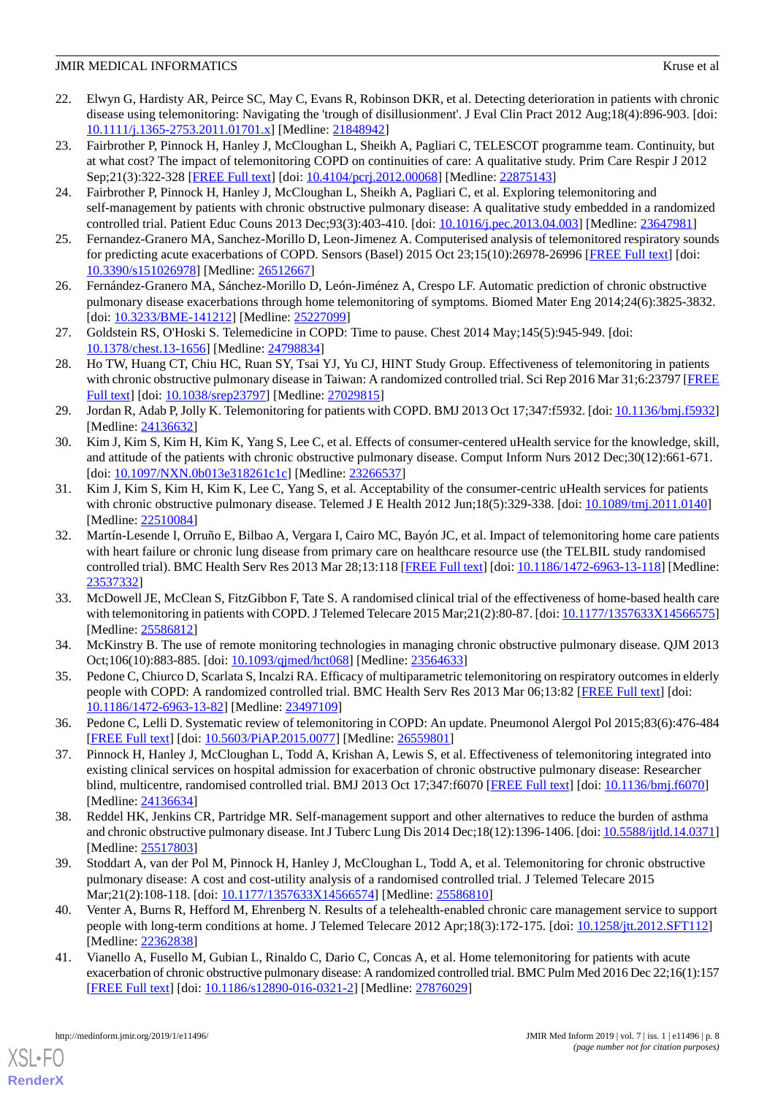- <span id="page-7-0"></span>22. Elwyn G, Hardisty AR, Peirce SC, May C, Evans R, Robinson DKR, et al. Detecting deterioration in patients with chronic disease using telemonitoring: Navigating the 'trough of disillusionment'. J Eval Clin Pract 2012 Aug;18(4):896-903. [doi: [10.1111/j.1365-2753.2011.01701.x\]](http://dx.doi.org/10.1111/j.1365-2753.2011.01701.x) [Medline: [21848942\]](http://www.ncbi.nlm.nih.gov/entrez/query.fcgi?cmd=Retrieve&db=PubMed&list_uids=21848942&dopt=Abstract)
- <span id="page-7-1"></span>23. Fairbrother P, Pinnock H, Hanley J, McCloughan L, Sheikh A, Pagliari C, TELESCOT programme team. Continuity, but at what cost? The impact of telemonitoring COPD on continuities of care: A qualitative study. Prim Care Respir J 2012 Sep;21(3):322-328 [[FREE Full text](https://dx.doi.org/10.4104/pcrj.2012.00068)] [doi: [10.4104/pcrj.2012.00068](http://dx.doi.org/10.4104/pcrj.2012.00068)] [Medline: [22875143](http://www.ncbi.nlm.nih.gov/entrez/query.fcgi?cmd=Retrieve&db=PubMed&list_uids=22875143&dopt=Abstract)]
- <span id="page-7-19"></span>24. Fairbrother P, Pinnock H, Hanley J, McCloughan L, Sheikh A, Pagliari C, et al. Exploring telemonitoring and self-management by patients with chronic obstructive pulmonary disease: A qualitative study embedded in a randomized controlled trial. Patient Educ Couns 2013 Dec;93(3):403-410. [doi: [10.1016/j.pec.2013.04.003](http://dx.doi.org/10.1016/j.pec.2013.04.003)] [Medline: [23647981](http://www.ncbi.nlm.nih.gov/entrez/query.fcgi?cmd=Retrieve&db=PubMed&list_uids=23647981&dopt=Abstract)]
- <span id="page-7-4"></span><span id="page-7-3"></span>25. Fernandez-Granero MA, Sanchez-Morillo D, Leon-Jimenez A. Computerised analysis of telemonitored respiratory sounds for predicting acute exacerbations of COPD. Sensors (Basel) 2015 Oct 23;15(10):26978-26996 [[FREE Full text](http://www.mdpi.com/resolver?pii=s151026978)] [doi: [10.3390/s151026978\]](http://dx.doi.org/10.3390/s151026978) [Medline: [26512667](http://www.ncbi.nlm.nih.gov/entrez/query.fcgi?cmd=Retrieve&db=PubMed&list_uids=26512667&dopt=Abstract)]
- <span id="page-7-5"></span>26. Fernández-Granero MA, Sánchez-Morillo D, León-Jiménez A, Crespo LF. Automatic prediction of chronic obstructive pulmonary disease exacerbations through home telemonitoring of symptoms. Biomed Mater Eng 2014;24(6):3825-3832. [doi: [10.3233/BME-141212](http://dx.doi.org/10.3233/BME-141212)] [Medline: [25227099\]](http://www.ncbi.nlm.nih.gov/entrez/query.fcgi?cmd=Retrieve&db=PubMed&list_uids=25227099&dopt=Abstract)
- <span id="page-7-6"></span>27. Goldstein RS, O'Hoski S. Telemedicine in COPD: Time to pause. Chest 2014 May;145(5):945-949. [doi: [10.1378/chest.13-1656](http://dx.doi.org/10.1378/chest.13-1656)] [Medline: [24798834\]](http://www.ncbi.nlm.nih.gov/entrez/query.fcgi?cmd=Retrieve&db=PubMed&list_uids=24798834&dopt=Abstract)
- <span id="page-7-7"></span>28. Ho TW, Huang CT, Chiu HC, Ruan SY, Tsai YJ, Yu CJ, HINT Study Group. Effectiveness of telemonitoring in patients with chronic obstructive pulmonary disease in Taiwan: A randomized controlled trial. Sci Rep 2016 Mar 31;6:23797 [\[FREE](http://dx.doi.org/10.1038/srep23797) [Full text\]](http://dx.doi.org/10.1038/srep23797) [doi: [10.1038/srep23797](http://dx.doi.org/10.1038/srep23797)] [Medline: [27029815\]](http://www.ncbi.nlm.nih.gov/entrez/query.fcgi?cmd=Retrieve&db=PubMed&list_uids=27029815&dopt=Abstract)
- <span id="page-7-8"></span>29. Jordan R, Adab P, Jolly K. Telemonitoring for patients with COPD. BMJ 2013 Oct 17;347:f5932. [doi: [10.1136/bmj.f5932](http://dx.doi.org/10.1136/bmj.f5932)] [Medline: [24136632](http://www.ncbi.nlm.nih.gov/entrez/query.fcgi?cmd=Retrieve&db=PubMed&list_uids=24136632&dopt=Abstract)]
- <span id="page-7-9"></span>30. Kim J, Kim S, Kim H, Kim K, Yang S, Lee C, et al. Effects of consumer-centered uHealth service for the knowledge, skill, and attitude of the patients with chronic obstructive pulmonary disease. Comput Inform Nurs 2012 Dec;30(12):661-671. [doi: [10.1097/NXN.0b013e318261c1c\]](http://dx.doi.org/10.1097/NXN.0b013e318261c1c) [Medline: [23266537](http://www.ncbi.nlm.nih.gov/entrez/query.fcgi?cmd=Retrieve&db=PubMed&list_uids=23266537&dopt=Abstract)]
- <span id="page-7-10"></span>31. Kim J, Kim S, Kim H, Kim K, Lee C, Yang S, et al. Acceptability of the consumer-centric uHealth services for patients with chronic obstructive pulmonary disease. Telemed J E Health 2012 Jun;18(5):329-338. [doi: [10.1089/tmj.2011.0140](http://dx.doi.org/10.1089/tmj.2011.0140)] [Medline: [22510084](http://www.ncbi.nlm.nih.gov/entrez/query.fcgi?cmd=Retrieve&db=PubMed&list_uids=22510084&dopt=Abstract)]
- <span id="page-7-11"></span>32. Martín-Lesende I, Orruño E, Bilbao A, Vergara I, Cairo MC, Bayón JC, et al. Impact of telemonitoring home care patients with heart failure or chronic lung disease from primary care on healthcare resource use (the TELBIL study randomised controlled trial). BMC Health Serv Res 2013 Mar 28;13:118 [\[FREE Full text](https://bmchealthservres.biomedcentral.com/articles/10.1186/1472-6963-13-118)] [doi: [10.1186/1472-6963-13-118\]](http://dx.doi.org/10.1186/1472-6963-13-118) [Medline: [23537332](http://www.ncbi.nlm.nih.gov/entrez/query.fcgi?cmd=Retrieve&db=PubMed&list_uids=23537332&dopt=Abstract)]
- <span id="page-7-12"></span><span id="page-7-2"></span>33. McDowell JE, McClean S, FitzGibbon F, Tate S. A randomised clinical trial of the effectiveness of home-based health care with telemonitoring in patients with COPD. J Telemed Telecare 2015 Mar; 21(2):80-87. [doi: [10.1177/1357633X14566575](http://dx.doi.org/10.1177/1357633X14566575)] [Medline: [25586812](http://www.ncbi.nlm.nih.gov/entrez/query.fcgi?cmd=Retrieve&db=PubMed&list_uids=25586812&dopt=Abstract)]
- <span id="page-7-13"></span>34. McKinstry B. The use of remote monitoring technologies in managing chronic obstructive pulmonary disease. QJM 2013 Oct;106(10):883-885. [doi: [10.1093/qjmed/hct068](http://dx.doi.org/10.1093/qjmed/hct068)] [Medline: [23564633\]](http://www.ncbi.nlm.nih.gov/entrez/query.fcgi?cmd=Retrieve&db=PubMed&list_uids=23564633&dopt=Abstract)
- <span id="page-7-14"></span>35. Pedone C, Chiurco D, Scarlata S, Incalzi RA. Efficacy of multiparametric telemonitoring on respiratory outcomes in elderly people with COPD: A randomized controlled trial. BMC Health Serv Res 2013 Mar 06;13:82 [[FREE Full text](https://bmchealthservres.biomedcentral.com/articles/10.1186/1472-6963-13-82)] [doi: [10.1186/1472-6963-13-82\]](http://dx.doi.org/10.1186/1472-6963-13-82) [Medline: [23497109\]](http://www.ncbi.nlm.nih.gov/entrez/query.fcgi?cmd=Retrieve&db=PubMed&list_uids=23497109&dopt=Abstract)
- <span id="page-7-15"></span>36. Pedone C, Lelli D. Systematic review of telemonitoring in COPD: An update. Pneumonol Alergol Pol 2015;83(6):476-484 [[FREE Full text](https://journals.viamedica.pl/pneumonologia_i_alergologia_pol/article/view/43870)] [doi: [10.5603/PiAP.2015.0077\]](http://dx.doi.org/10.5603/PiAP.2015.0077) [Medline: [26559801\]](http://www.ncbi.nlm.nih.gov/entrez/query.fcgi?cmd=Retrieve&db=PubMed&list_uids=26559801&dopt=Abstract)
- <span id="page-7-16"></span>37. Pinnock H, Hanley J, McCloughan L, Todd A, Krishan A, Lewis S, et al. Effectiveness of telemonitoring integrated into existing clinical services on hospital admission for exacerbation of chronic obstructive pulmonary disease: Researcher blind, multicentre, randomised controlled trial. BMJ 2013 Oct 17;347:f6070 [\[FREE Full text\]](http://www.bmj.com/cgi/pmidlookup?view=long&pmid=24136634) [doi: [10.1136/bmj.f6070](http://dx.doi.org/10.1136/bmj.f6070)] [Medline: [24136634](http://www.ncbi.nlm.nih.gov/entrez/query.fcgi?cmd=Retrieve&db=PubMed&list_uids=24136634&dopt=Abstract)]
- <span id="page-7-17"></span>38. Reddel HK, Jenkins CR, Partridge MR. Self-management support and other alternatives to reduce the burden of asthma and chronic obstructive pulmonary disease. Int J Tuberc Lung Dis 2014 Dec;18(12):1396-1406. [doi: [10.5588/ijtld.14.0371](http://dx.doi.org/10.5588/ijtld.14.0371)] [Medline: [25517803](http://www.ncbi.nlm.nih.gov/entrez/query.fcgi?cmd=Retrieve&db=PubMed&list_uids=25517803&dopt=Abstract)]
- <span id="page-7-18"></span>39. Stoddart A, van der Pol M, Pinnock H, Hanley J, McCloughan L, Todd A, et al. Telemonitoring for chronic obstructive pulmonary disease: A cost and cost-utility analysis of a randomised controlled trial. J Telemed Telecare 2015 Mar;21(2):108-118. [doi: [10.1177/1357633X14566574\]](http://dx.doi.org/10.1177/1357633X14566574) [Medline: [25586810](http://www.ncbi.nlm.nih.gov/entrez/query.fcgi?cmd=Retrieve&db=PubMed&list_uids=25586810&dopt=Abstract)]
- 40. Venter A, Burns R, Hefford M, Ehrenberg N. Results of a telehealth-enabled chronic care management service to support people with long-term conditions at home. J Telemed Telecare 2012 Apr;18(3):172-175. [doi: [10.1258/jtt.2012.SFT112](http://dx.doi.org/10.1258/jtt.2012.SFT112)] [Medline: [22362838](http://www.ncbi.nlm.nih.gov/entrez/query.fcgi?cmd=Retrieve&db=PubMed&list_uids=22362838&dopt=Abstract)]
- 41. Vianello A, Fusello M, Gubian L, Rinaldo C, Dario C, Concas A, et al. Home telemonitoring for patients with acute exacerbation of chronic obstructive pulmonary disease: A randomized controlled trial. BMC Pulm Med 2016 Dec 22;16(1):157 [[FREE Full text](https://bmcpulmmed.biomedcentral.com/articles/10.1186/s12890-016-0321-2)] [doi: [10.1186/s12890-016-0321-2\]](http://dx.doi.org/10.1186/s12890-016-0321-2) [Medline: [27876029](http://www.ncbi.nlm.nih.gov/entrez/query.fcgi?cmd=Retrieve&db=PubMed&list_uids=27876029&dopt=Abstract)]